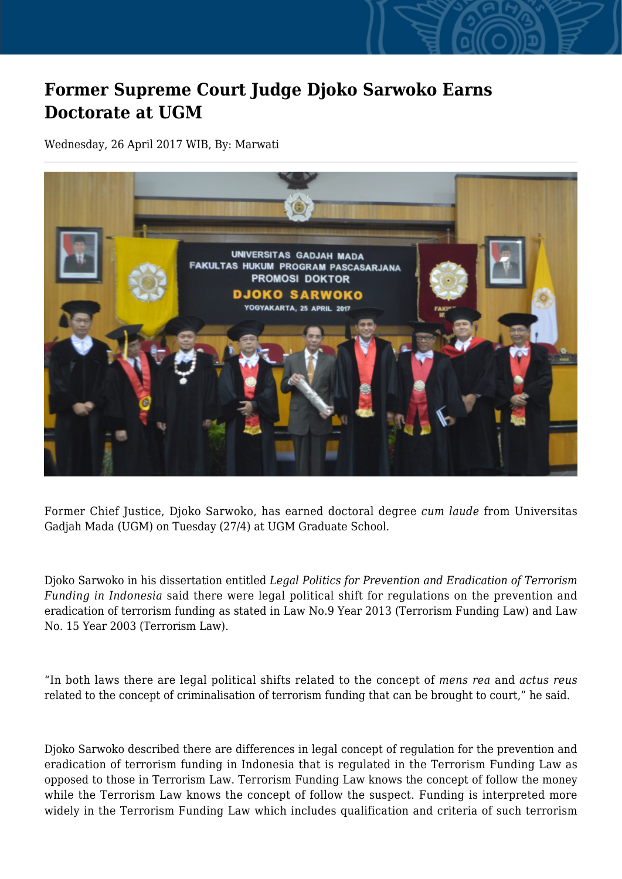## **Former Supreme Court Judge Djoko Sarwoko Earns Doctorate at UGM**

Wednesday, 26 April 2017 WIB, By: Marwati



Former Chief Justice, Djoko Sarwoko, has earned doctoral degree *cum laude* from Universitas Gadjah Mada (UGM) on Tuesday (27/4) at UGM Graduate School.

Djoko Sarwoko in his dissertation entitled *Legal Politics for Prevention and Eradication of Terrorism Funding in Indonesia* said there were legal political shift for regulations on the prevention and eradication of terrorism funding as stated in Law No.9 Year 2013 (Terrorism Funding Law) and Law No. 15 Year 2003 (Terrorism Law).

"In both laws there are legal political shifts related to the concept of *mens rea* and *actus reus* related to the concept of criminalisation of terrorism funding that can be brought to court," he said.

Djoko Sarwoko described there are differences in legal concept of regulation for the prevention and eradication of terrorism funding in Indonesia that is regulated in the Terrorism Funding Law as opposed to those in Terrorism Law. Terrorism Funding Law knows the concept of follow the money while the Terrorism Law knows the concept of follow the suspect. Funding is interpreted more widely in the Terrorism Funding Law which includes qualification and criteria of such terrorism